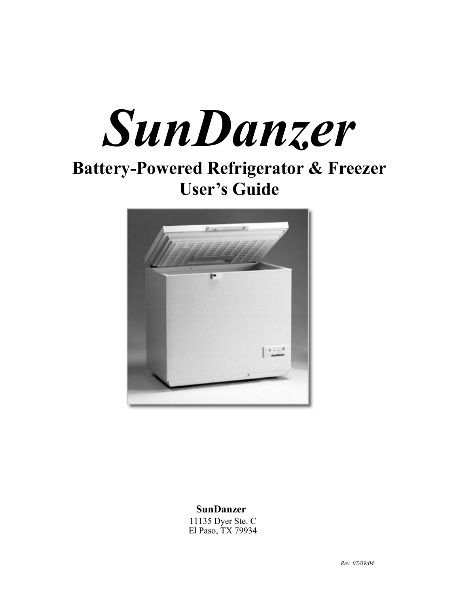

# **Battery-Powered Refrigerator & Freezer User's Guide**



 **SunDanzer**

 11135 Dyer Ste. C El Paso, TX 79934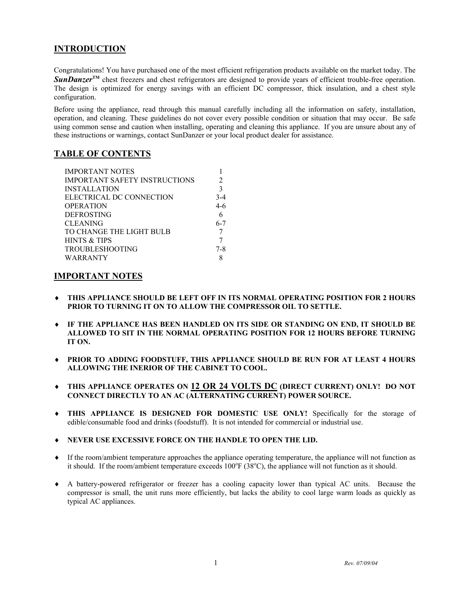# **INTRODUCTION**

Congratulations! You have purchased one of the most efficient refrigeration products available on the market today. The *SunDanzer*<sup>™</sup> chest freezers and chest refrigerators are designed to provide years of efficient trouble-free operation. The design is optimized for energy savings with an efficient DC compressor, thick insulation, and a chest style configuration.

Before using the appliance, read through this manual carefully including all the information on safety, installation, operation, and cleaning. These guidelines do not cover every possible condition or situation that may occur. Be safe using common sense and caution when installing, operating and cleaning this appliance. If you are unsure about any of these instructions or warnings, contact SunDanzer or your local product dealer for assistance.

# **TABLE OF CONTENTS**

| <b>IMPORTANT NOTES</b>               |               |
|--------------------------------------|---------------|
| <b>IMPORTANT SAFETY INSTRUCTIONS</b> | 2             |
| <b>INSTALLATION</b>                  | $\mathcal{E}$ |
| ELECTRICAL DC CONNECTION             | $3-4$         |
| OPERATION                            | 4-6           |
| DEFROSTING                           |               |
| CLEANING                             | $6 - 7$       |
| TO CHANGE THE LIGHT BULB             |               |
| HINTS & TIPS                         |               |
| TROUBLESHOOTING                      | $7 - 8$       |
| WARRANTY                             |               |
|                                      |               |

# **IMPORTANT NOTES**

- ♦ **THIS APPLIANCE SHOULD BE LEFT OFF IN ITS NORMAL OPERATING POSITION FOR 2 HOURS PRIOR TO TURNING IT ON TO ALLOW THE COMPRESSOR OIL TO SETTLE.**
- ♦ **IF THE APPLIANCE HAS BEEN HANDLED ON ITS SIDE OR STANDING ON END, IT SHOULD BE ALLOWED TO SIT IN THE NORMAL OPERATING POSITION FOR 12 HOURS BEFORE TURNING IT ON.**
- ♦ **PRIOR TO ADDING FOODSTUFF, THIS APPLIANCE SHOULD BE RUN FOR AT LEAST 4 HOURS ALLOWING THE INERIOR OF THE CABINET TO COOL.**
- ♦ **THIS APPLIANCE OPERATES ON 12 OR 24 VOLTS DC (DIRECT CURRENT) ONLY! DO NOT CONNECT DIRECTLY TO AN AC (ALTERNATING CURRENT) POWER SOURCE.**
- ♦ **THIS APPLIANCE IS DESIGNED FOR DOMESTIC USE ONLY!** Specifically for the storage of edible/consumable food and drinks (foodstuff). It is not intended for commercial or industrial use.
- ♦ **NEVER USE EXCESSIVE FORCE ON THE HANDLE TO OPEN THE LID.**
- ♦ If the room/ambient temperature approaches the appliance operating temperature, the appliance will not function as it should. If the room/ambient temperature exceeds 100°F (38°C), the appliance will not function as it should.
- ♦ A battery-powered refrigerator or freezer has a cooling capacity lower than typical AC units. Because the compressor is small, the unit runs more efficiently, but lacks the ability to cool large warm loads as quickly as typical AC appliances.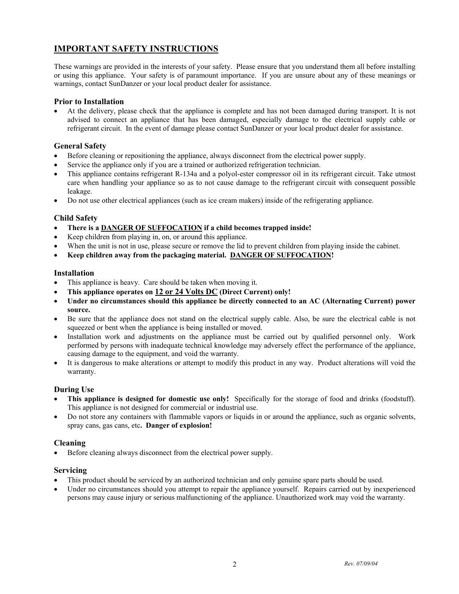# **IMPORTANT SAFETY INSTRUCTIONS**

These warnings are provided in the interests of your safety. Please ensure that you understand them all before installing or using this appliance. Your safety is of paramount importance. If you are unsure about any of these meanings or warnings, contact SunDanzer or your local product dealer for assistance.

# **Prior to Installation**

• At the delivery, please check that the appliance is complete and has not been damaged during transport. It is not advised to connect an appliance that has been damaged, especially damage to the electrical supply cable or refrigerant circuit. In the event of damage please contact SunDanzer or your local product dealer for assistance.

# **General Safety**

- Before cleaning or repositioning the appliance, always disconnect from the electrical power supply.
- Service the appliance only if you are a trained or authorized refrigeration technician.
- This appliance contains refrigerant R-134a and a polyol-ester compressor oil in its refrigerant circuit. Take utmost care when handling your appliance so as to not cause damage to the refrigerant circuit with consequent possible leakage.
- Do not use other electrical appliances (such as ice cream makers) inside of the refrigerating appliance.

# **Child Safety**

- **There is a DANGER OF SUFFOCATION if a child becomes trapped inside!**
- Keep children from playing in, on, or around this appliance.
- When the unit is not in use, please secure or remove the lid to prevent children from playing inside the cabinet.
- **Keep children away from the packaging material. DANGER OF SUFFOCATION!**

## **Installation**

- This appliance is heavy. Care should be taken when moving it.
- **This appliance operates on 12 or 24 Volts DC (Direct Current) only!**
- **Under no circumstances should this appliance be directly connected to an AC (Alternating Current) power source.**
- Be sure that the appliance does not stand on the electrical supply cable. Also, be sure the electrical cable is not squeezed or bent when the appliance is being installed or moved.
- Installation work and adjustments on the appliance must be carried out by qualified personnel only. Work performed by persons with inadequate technical knowledge may adversely effect the performance of the appliance, causing damage to the equipment, and void the warranty.
- It is dangerous to make alterations or attempt to modify this product in any way. Product alterations will void the warranty.

# **During Use**

- **This appliance is designed for domestic use only!** Specifically for the storage of food and drinks (foodstuff). This appliance is not designed for commercial or industrial use.
- Do not store any containers with flammable vapors or liquids in or around the appliance, such as organic solvents, spray cans, gas cans, etc**. Danger of explosion!**

## **Cleaning**

• Before cleaning always disconnect from the electrical power supply.

## **Servicing**

- This product should be serviced by an authorized technician and only genuine spare parts should be used.
- Under no circumstances should you attempt to repair the appliance yourself. Repairs carried out by inexperienced persons may cause injury or serious malfunctioning of the appliance. Unauthorized work may void the warranty.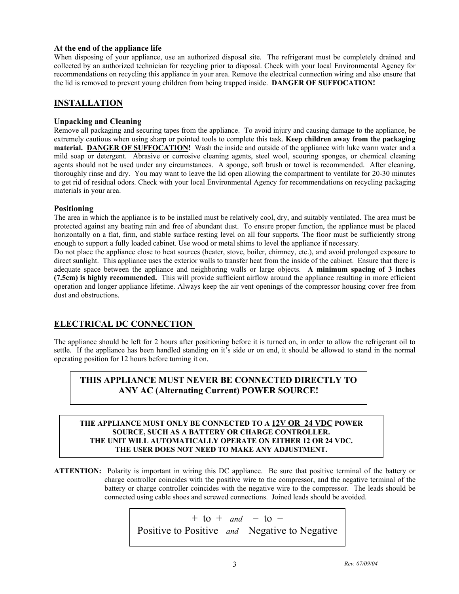# **At the end of the appliance life**

When disposing of your appliance, use an authorized disposal site. The refrigerant must be completely drained and collected by an authorized technician for recycling prior to disposal. Check with your local Environmental Agency for recommendations on recycling this appliance in your area. Remove the electrical connection wiring and also ensure that the lid is removed to prevent young children from being trapped inside. **DANGER OF SUFFOCATION!**

# **INSTALLATION**

# **Unpacking and Cleaning**

Remove all packaging and securing tapes from the appliance. To avoid injury and causing damage to the appliance, be extremely cautious when using sharp or pointed tools to complete this task. **Keep children away from the packaging material. DANGER OF SUFFOCATION!** Wash the inside and outside of the appliance with luke warm water and a mild soap or detergent. Abrasive or corrosive cleaning agents, steel wool, scouring sponges, or chemical cleaning agents should not be used under any circumstances. A sponge, soft brush or towel is recommended. After cleaning, thoroughly rinse and dry. You may want to leave the lid open allowing the compartment to ventilate for 20-30 minutes to get rid of residual odors. Check with your local Environmental Agency for recommendations on recycling packaging materials in your area.

## **Positioning**

The area in which the appliance is to be installed must be relatively cool, dry, and suitably ventilated. The area must be protected against any beating rain and free of abundant dust. To ensure proper function, the appliance must be placed horizontally on a flat, firm, and stable surface resting level on all four supports. The floor must be sufficiently strong enough to support a fully loaded cabinet. Use wood or metal shims to level the appliance if necessary.

Do not place the appliance close to heat sources (heater, stove, boiler, chimney, etc.), and avoid prolonged exposure to direct sunlight. This appliance uses the exterior walls to transfer heat from the inside of the cabinet. Ensure that there is adequate space between the appliance and neighboring walls or large objects. **A minimum spacing of 3 inches (7.5cm) is highly recommended.** This will provide sufficient airflow around the appliance resulting in more efficient operation and longer appliance lifetime. Always keep the air vent openings of the compressor housing cover free from dust and obstructions.

# **ELECTRICAL DC CONNECTION**

The appliance should be left for 2 hours after positioning before it is turned on, in order to allow the refrigerant oil to settle. If the appliance has been handled standing on it's side or on end, it should be allowed to stand in the normal operating position for 12 hours before turning it on.

# **THIS APPLIANCE MUST NEVER BE CONNECTED DIRECTLY TO ANY AC (Alternating Current) POWER SOURCE!**

## **THE APPLIANCE MUST ONLY BE CONNECTED TO A 12V OR 24 VDC POWER SOURCE, SUCH AS A BATTERY OR CHARGE CONTROLLER. THE UNIT WILL AUTOMATICALLY OPERATE ON EITHER 12 OR 24 VDC. THE USER DOES NOT NEED TO MAKE ANY ADJUSTMENT.**

**ATTENTION:** Polarity is important in wiring this DC appliance. Be sure that positive terminal of the battery or charge controller coincides with the positive wire to the compressor, and the negative terminal of the battery or charge controller coincides with the negative wire to the compressor. The leads should be connected using cable shoes and screwed connections. Joined leads should be avoided.

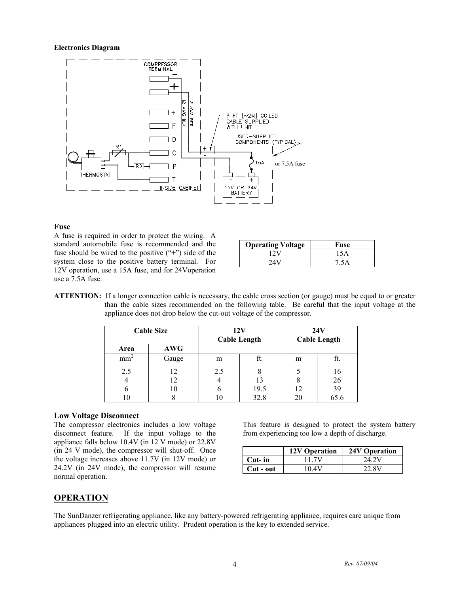#### **Electronics Diagram**



#### **Fuse**

A fuse is required in order to protect the wiring. A standard automobile fuse is recommended and the fuse should be wired to the positive  $($ "+") side of the system close to the positive battery terminal. For 12V operation, use a 15A fuse, and for 24Voperation use a 7.5A fuse.

| <b>Operating Voltage</b> | Fuse |
|--------------------------|------|
| 12V                      | 15 A |
| 24 V                     | 7.5A |

**ATTENTION:** If a longer connection cable is necessary, the cable cross section (or gauge) must be equal to or greater than the cable sizes recommended on the following table. Be careful that the input voltage at the appliance does not drop below the cut-out voltage of the compressor.

|                 | <b>Cable Size</b> |     | 12V<br><b>Cable Length</b> |    | 24V<br><b>Cable Length</b> |
|-----------------|-------------------|-----|----------------------------|----|----------------------------|
| Area            | <b>AWG</b>        |     |                            |    |                            |
| mm <sup>2</sup> | Gauge             | m   | ft.                        | m  | Il.                        |
| 2.5             | 12                | 2.5 | Ω                          |    | 16                         |
| 4               | 12                |     | 13                         |    | 26                         |
| n               | 10                | o   | 19.5                       | 12 | 39                         |
| l O             |                   |     | 32.8                       | 20 | 65.6                       |

## **Low Voltage Disconnect**

The compressor electronics includes a low voltage disconnect feature. If the input voltage to the appliance falls below 10.4V (in 12 V mode) or 22.8V (in 24 V mode), the compressor will shut-off. Once the voltage increases above 11.7V (in 12V mode) or 24.2V (in 24V mode), the compressor will resume normal operation.

This feature is designed to protect the system battery from experiencing too low a depth of discharge.

|           | <b>12V Operation</b> | 24V Operation |
|-----------|----------------------|---------------|
| Cut- in   | 11 7V                | 24.2V         |
| Cut - out | 10 4V                | 22.8V         |

# **OPERATION**

The SunDanzer refrigerating appliance, like any battery-powered refrigerating appliance, requires care unique from appliances plugged into an electric utility. Prudent operation is the key to extended service.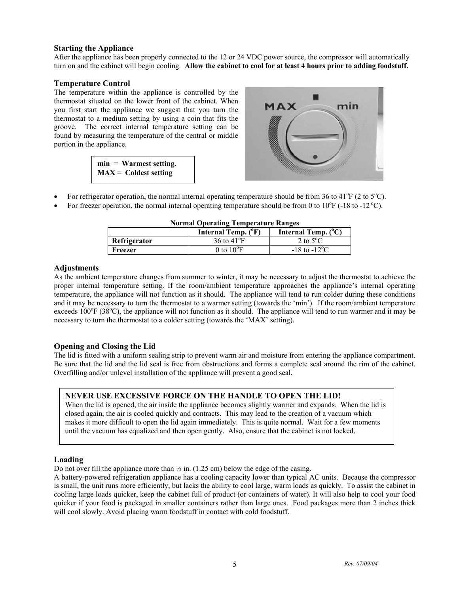## **Starting the Appliance**

After the appliance has been properly connected to the 12 or 24 VDC power source, the compressor will automatically turn on and the cabinet will begin cooling. **Allow the cabinet to cool for at least 4 hours prior to adding foodstuff.**

## **Temperature Control**

The temperature within the appliance is controlled by the thermostat situated on the lower front of the cabinet. When you first start the appliance we suggest that you turn the thermostat to a medium setting by using a coin that fits the groove. The correct internal temperature setting can be found by measuring the temperature of the central or middle portion in the appliance.

| $min = Warner setting.$ |  |
|-------------------------|--|
| $MAX =$ Coldest setting |  |



- For refrigerator operation, the normal internal operating temperature should be from 36 to  $41^{\circ}F(2 \text{ to } 5^{\circ}C)$ .
- For freezer operation, the normal internal operating temperature should be from 0 to  $10^{\circ}$ F (-18 to -12  $^{\circ}$ C).

| 1101 mai o per atme 'r emperatur't rampes |                              |                               |  |
|-------------------------------------------|------------------------------|-------------------------------|--|
|                                           | Internal Temp. $(^{\circ}F)$ | Internal Temp. $(^{\circ}C)$  |  |
| Refrigerator                              | 36 to $41^{\circ}$ F         | 2 to $5^{\circ}$ C            |  |
| Freezer                                   | 0 to $10^{\circ}$ F          | $-18$ to $-12$ <sup>o</sup> C |  |

#### **Normal Operating Temperature Ranges**

#### **Adjustments**

As the ambient temperature changes from summer to winter, it may be necessary to adjust the thermostat to achieve the proper internal temperature setting. If the room/ambient temperature approaches the appliance's internal operating temperature, the appliance will not function as it should. The appliance will tend to run colder during these conditions and it may be necessary to turn the thermostat to a warmer setting (towards the 'min'). If the room/ambient temperature exceeds  $100^{\circ}$ F (38 $^{\circ}$ C), the appliance will not function as it should. The appliance will tend to run warmer and it may be necessary to turn the thermostat to a colder setting (towards the 'MAX' setting).

## **Opening and Closing the Lid**

The lid is fitted with a uniform sealing strip to prevent warm air and moisture from entering the appliance compartment. Be sure that the lid and the lid seal is free from obstructions and forms a complete seal around the rim of the cabinet. Overfilling and/or unlevel installation of the appliance will prevent a good seal.

# **NEVER USE EXCESSIVE FORCE ON THE HANDLE TO OPEN THE LID!**

When the lid is opened, the air inside the appliance becomes slightly warmer and expands. When the lid is closed again, the air is cooled quickly and contracts. This may lead to the creation of a vacuum which makes it more difficult to open the lid again immediately. This is quite normal. Wait for a few moments until the vacuum has equalized and then open gently. Also, ensure that the cabinet is not locked.

## **Loading**

Do not over fill the appliance more than  $\frac{1}{2}$  in. (1.25 cm) below the edge of the casing.

A battery-powered refrigeration appliance has a cooling capacity lower than typical AC units. Because the compressor is small, the unit runs more efficiently, but lacks the ability to cool large, warm loads as quickly. To assist the cabinet in cooling large loads quicker, keep the cabinet full of product (or containers of water). It will also help to cool your food quicker if your food is packaged in smaller containers rather than large ones. Food packages more than 2 inches thick will cool slowly. Avoid placing warm foodstuff in contact with cold foodstuff.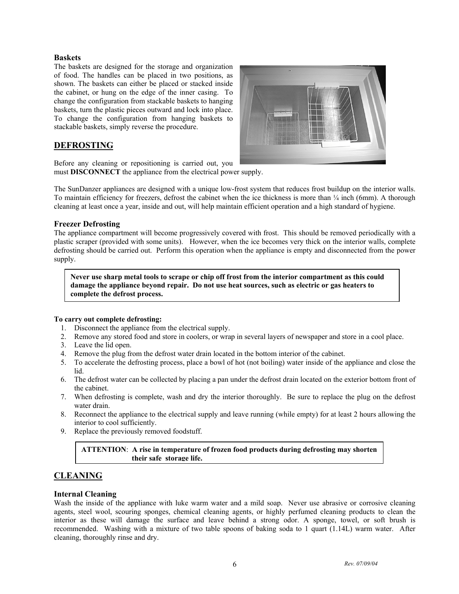## **Baskets**

The baskets are designed for the storage and organization of food. The handles can be placed in two positions, as shown. The baskets can either be placed or stacked inside the cabinet, or hung on the edge of the inner casing. To change the configuration from stackable baskets to hanging baskets, turn the plastic pieces outward and lock into place. To change the configuration from hanging baskets to stackable baskets, simply reverse the procedure.

# **DEFROSTING**



Before any cleaning or repositioning is carried out, you must **DISCONNECT** the appliance from the electrical power supply.

The SunDanzer appliances are designed with a unique low-frost system that reduces frost buildup on the interior walls. To maintain efficiency for freezers, defrost the cabinet when the ice thickness is more than ¼ inch (6mm). A thorough cleaning at least once a year, inside and out, will help maintain efficient operation and a high standard of hygiene.

# **Freezer Defrosting**

The appliance compartment will become progressively covered with frost. This should be removed periodically with a plastic scraper (provided with some units). However, when the ice becomes very thick on the interior walls, complete defrosting should be carried out. Perform this operation when the appliance is empty and disconnected from the power supply.

**Never use sharp metal tools to scrape or chip off frost from the interior compartment as this could damage the appliance beyond repair. Do not use heat sources, such as electric or gas heaters to complete the defrost process.**

## **To carry out complete defrosting:**

- 1. Disconnect the appliance from the electrical supply.
- 2. Remove any stored food and store in coolers, or wrap in several layers of newspaper and store in a cool place.
- 3. Leave the lid open.
- 4. Remove the plug from the defrost water drain located in the bottom interior of the cabinet.
- 5. To accelerate the defrosting process, place a bowl of hot (not boiling) water inside of the appliance and close the lid.
- 6. The defrost water can be collected by placing a pan under the defrost drain located on the exterior bottom front of the cabinet.
- 7. When defrosting is complete, wash and dry the interior thoroughly. Be sure to replace the plug on the defrost water drain.
- 8. Reconnect the appliance to the electrical supply and leave running (while empty) for at least 2 hours allowing the interior to cool sufficiently.
- 9. Replace the previously removed foodstuff.

# **ATTENTION**: **A rise in temperature of frozen food products during defrosting may shorten their safe storage life.**

# **CLEANING**

# **Internal Cleaning**

Wash the inside of the appliance with luke warm water and a mild soap. Never use abrasive or corrosive cleaning agents, steel wool, scouring sponges, chemical cleaning agents, or highly perfumed cleaning products to clean the interior as these will damage the surface and leave behind a strong odor. A sponge, towel, or soft brush is recommended. Washing with a mixture of two table spoons of baking soda to 1 quart (1.14L) warm water. After cleaning, thoroughly rinse and dry.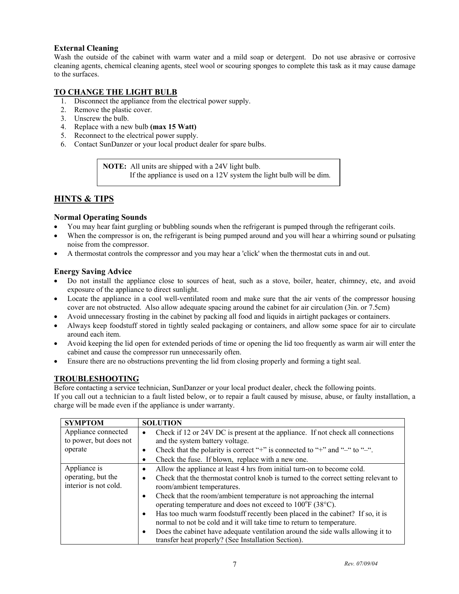# **External Cleaning**

Wash the outside of the cabinet with warm water and a mild soap or detergent. Do not use abrasive or corrosive cleaning agents, chemical cleaning agents, steel wool or scouring sponges to complete this task as it may cause damage to the surfaces.

# **TO CHANGE THE LIGHT BULB**

- 1. Disconnect the appliance from the electrical power supply.
- 2. Remove the plastic cover.
- 3. Unscrew the bulb.
- 4. Replace with a new bulb **(max 15 Watt)**
- 5. Reconnect to the electrical power supply.
- 6. Contact SunDanzer or your local product dealer for spare bulbs.

**NOTE:** All units are shipped with a 24V light bulb. If the appliance is used on a 12V system the light bulb will be dim.

# **HINTS & TIPS**

# **Normal Operating Sounds**

- You may hear faint gurgling or bubbling sounds when the refrigerant is pumped through the refrigerant coils.
- When the compressor is on, the refrigerant is being pumped around and you will hear a whirring sound or pulsating noise from the compressor.
- A thermostat controls the compressor and you may hear a 'click' when the thermostat cuts in and out.

# **Energy Saving Advice**

- Do not install the appliance close to sources of heat, such as a stove, boiler, heater, chimney, etc, and avoid exposure of the appliance to direct sunlight.
- Locate the appliance in a cool well-ventilated room and make sure that the air vents of the compressor housing cover are not obstructed. Also allow adequate spacing around the cabinet for air circulation (3in. or 7.5cm)
- Avoid unnecessary frosting in the cabinet by packing all food and liquids in airtight packages or containers.
- Always keep foodstuff stored in tightly sealed packaging or containers, and allow some space for air to circulate around each item.
- Avoid keeping the lid open for extended periods of time or opening the lid too frequently as warm air will enter the cabinet and cause the compressor run unnecessarily often.
- Ensure there are no obstructions preventing the lid from closing properly and forming a tight seal.

# **TROUBLESHOOTING**

Before contacting a service technician, SunDanzer or your local product dealer, check the following points.

If you call out a technician to a fault listed below, or to repair a fault caused by misuse, abuse, or faulty installation, a charge will be made even if the appliance is under warranty.

| <b>SYMPTOM</b>                              | <b>SOLUTION</b>                                                                                                                                             |
|---------------------------------------------|-------------------------------------------------------------------------------------------------------------------------------------------------------------|
| Appliance connected                         | Check if 12 or 24V DC is present at the appliance. If not check all connections<br>٠                                                                        |
| to power, but does not                      | and the system battery voltage.                                                                                                                             |
| operate                                     | Check that the polarity is correct "+" is connected to "+" and "-" to "-".<br>٠                                                                             |
|                                             | Check the fuse. If blown, replace with a new one.<br>٠                                                                                                      |
| Appliance is                                | Allow the appliance at least 4 hrs from initial turn-on to become cold.<br>٠                                                                                |
| operating, but the<br>interior is not cold. | Check that the thermostat control knob is turned to the correct setting relevant to<br>٠<br>room/ambient temperatures.                                      |
|                                             | Check that the room/ambient temperature is not approaching the internal<br>٠<br>operating temperature and does not exceed to 100°F (38°C).                  |
|                                             | Has too much warm foodstuff recently been placed in the cabinet? If so, it is<br>٠<br>normal to not be cold and it will take time to return to temperature. |
|                                             | Does the cabinet have adequate ventilation around the side walls allowing it to<br>٠<br>transfer heat properly? (See Installation Section).                 |